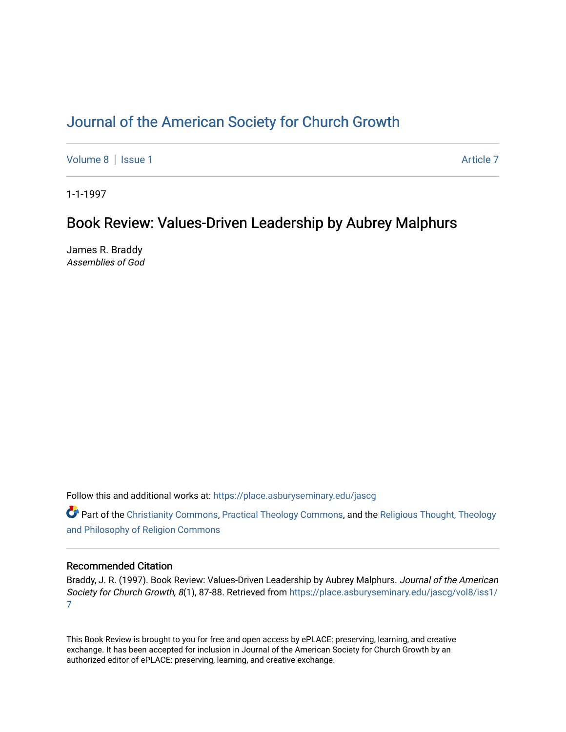# [Journal of the American Society for Church Growth](https://place.asburyseminary.edu/jascg)

[Volume 8](https://place.asburyseminary.edu/jascg/vol8) | [Issue 1](https://place.asburyseminary.edu/jascg/vol8/iss1) Article 7

1-1-1997

## Book Review: Values-Driven Leadership by Aubrey Malphurs

James R. Braddy Assemblies of God

Follow this and additional works at: [https://place.asburyseminary.edu/jascg](https://place.asburyseminary.edu/jascg?utm_source=place.asburyseminary.edu%2Fjascg%2Fvol8%2Fiss1%2F7&utm_medium=PDF&utm_campaign=PDFCoverPages)

**C** Part of the [Christianity Commons,](https://network.bepress.com/hgg/discipline/1181?utm_source=place.asburyseminary.edu%2Fjascg%2Fvol8%2Fiss1%2F7&utm_medium=PDF&utm_campaign=PDFCoverPages) [Practical Theology Commons](https://network.bepress.com/hgg/discipline/1186?utm_source=place.asburyseminary.edu%2Fjascg%2Fvol8%2Fiss1%2F7&utm_medium=PDF&utm_campaign=PDFCoverPages), and the Religious Thought, Theology [and Philosophy of Religion Commons](https://network.bepress.com/hgg/discipline/544?utm_source=place.asburyseminary.edu%2Fjascg%2Fvol8%2Fiss1%2F7&utm_medium=PDF&utm_campaign=PDFCoverPages)

### Recommended Citation

Braddy, J. R. (1997). Book Review: Values-Driven Leadership by Aubrey Malphurs. Journal of the American Society for Church Growth, 8(1), 87-88. Retrieved from https://place.asburyseminary.edu/jascq/vol8/iss1/ [7](https://place.asburyseminary.edu/jascg/vol8/iss1/7?utm_source=place.asburyseminary.edu%2Fjascg%2Fvol8%2Fiss1%2F7&utm_medium=PDF&utm_campaign=PDFCoverPages) 

This Book Review is brought to you for free and open access by ePLACE: preserving, learning, and creative exchange. It has been accepted for inclusion in Journal of the American Society for Church Growth by an authorized editor of ePLACE: preserving, learning, and creative exchange.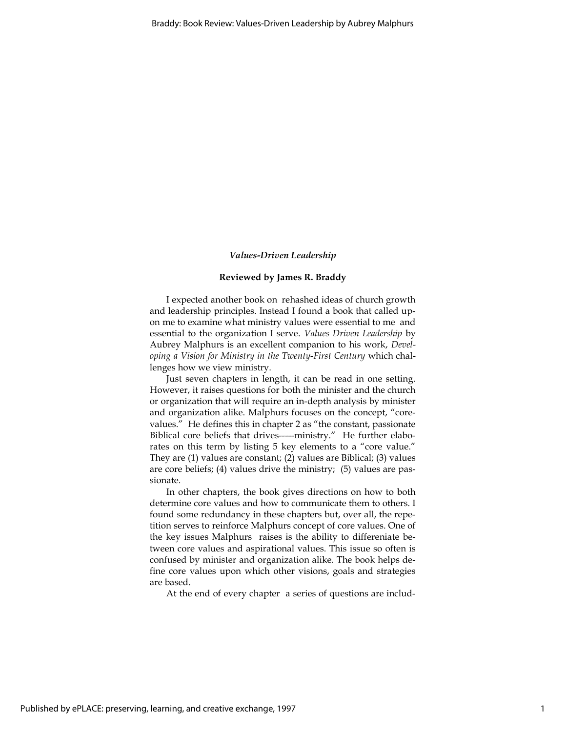#### Values-Driven Leadership

#### Reviewed by James R. Braddy

I expected another book on rehashed ideas of church growth and leadership principles. Instead I found a book that called upon me to examine what ministry values were essential to me and essential to the organization I serve. Values Driven Leadership by Aubrey Malphurs is an excellent companion to his work, Developing a Vision for Ministry in the Twenty-First Century which challenges how we view ministry.

Just seven chapters in length, it can be read in one setting. However, it raises questions for both the minister and the church or organization that will require an in-depth analysis by minister and organization alike. Malphurs focuses on the concept, "corevalues." He defines this in chapter 2 as "the constant, passionate Biblical core beliefs that drives-----ministry." He further elaborates on this term by listing 5 key elements to a "core value." They are (1) values are constant; (2) values are Biblical; (3) values are core beliefs; (4) values drive the ministry; (5) values are passionate.

In other chapters, the book gives directions on how to both determine core values and how to communicate them to others. I found some redundancy in these chapters but, over all, the repetition serves to reinforce Malphurs concept of core values. One of the key issues Malphurs raises is the ability to differeniate between core values and aspirational values. This issue so often is confused by minister and organization alike. The book helps define core values upon which other visions, goals and strategies are based.

At the end of every chapter a series of questions are includ-